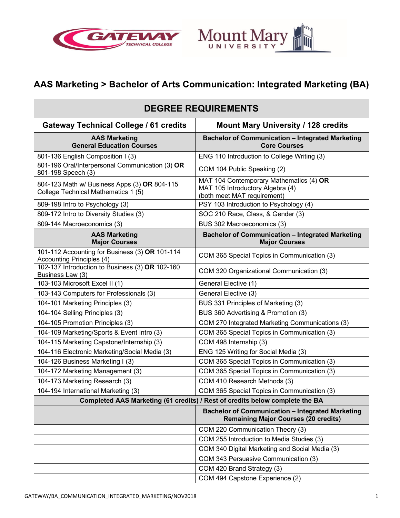



# **AAS Marketing > Bachelor of Arts Communication: Integrated Marketing (BA)**

| <b>DEGREE REQUIREMENTS</b>                                                          |                                                                                                            |
|-------------------------------------------------------------------------------------|------------------------------------------------------------------------------------------------------------|
| <b>Gateway Technical College / 61 credits</b>                                       | <b>Mount Mary University / 128 credits</b>                                                                 |
| <b>AAS Marketing</b><br><b>General Education Courses</b>                            | <b>Bachelor of Communication - Integrated Marketing</b><br><b>Core Courses</b>                             |
| 801-136 English Composition I (3)                                                   | ENG 110 Introduction to College Writing (3)                                                                |
| 801-196 Oral/Interpersonal Communication (3) OR<br>801-198 Speech (3)               | COM 104 Public Speaking (2)                                                                                |
| 804-123 Math w/ Business Apps (3) OR 804-115<br>College Technical Mathematics 1 (5) | MAT 104 Contemporary Mathematics (4) OR<br>MAT 105 Introductory Algebra (4)<br>(both meet MAT requirement) |
| 809-198 Intro to Psychology (3)                                                     | PSY 103 Introduction to Psychology (4)                                                                     |
| 809-172 Intro to Diversity Studies (3)                                              | SOC 210 Race, Class, & Gender (3)                                                                          |
| 809-144 Macroeconomics (3)                                                          | BUS 302 Macroeconomics (3)                                                                                 |
| <b>AAS Marketing</b><br><b>Major Courses</b>                                        | <b>Bachelor of Communication - Integrated Marketing</b><br><b>Major Courses</b>                            |
| 101-112 Accounting for Business (3) OR 101-114<br>Accounting Principles (4)         | COM 365 Special Topics in Communication (3)                                                                |
| 102-137 Introduction to Business (3) OR 102-160<br>Business Law (3)                 | COM 320 Organizational Communication (3)                                                                   |
| 103-103 Microsoft Excel II (1)                                                      | General Elective (1)                                                                                       |
| 103-143 Computers for Professionals (3)                                             | General Elective (3)                                                                                       |
| 104-101 Marketing Principles (3)                                                    | BUS 331 Principles of Marketing (3)                                                                        |
| 104-104 Selling Principles (3)                                                      | BUS 360 Advertising & Promotion (3)                                                                        |
| 104-105 Promotion Principles (3)                                                    | COM 270 Integrated Marketing Communications (3)                                                            |
| 104-109 Marketing/Sports & Event Intro (3)                                          | COM 365 Special Topics in Communication (3)                                                                |
| 104-115 Marketing Capstone/Internship (3)                                           | COM 498 Internship (3)                                                                                     |
| 104-116 Electronic Marketing/Social Media (3)                                       | ENG 125 Writing for Social Media (3)                                                                       |
| 104-126 Business Marketing I (3)                                                    | COM 365 Special Topics in Communication (3)                                                                |
| 104-172 Marketing Management (3)                                                    | COM 365 Special Topics in Communication (3)                                                                |
| 104-173 Marketing Research (3)                                                      | COM 410 Research Methods (3)                                                                               |
| 104-194 International Marketing (3)                                                 | COM 365 Special Topics in Communication (3)                                                                |
| Completed AAS Marketing (61 credits) / Rest of credits below complete the BA        |                                                                                                            |
|                                                                                     | <b>Bachelor of Communication - Integrated Marketing</b><br><b>Remaining Major Courses (20 credits)</b>     |
|                                                                                     | COM 220 Communication Theory (3)                                                                           |
|                                                                                     | COM 255 Introduction to Media Studies (3)                                                                  |
|                                                                                     | COM 340 Digital Marketing and Social Media (3)                                                             |
|                                                                                     | COM 343 Persuasive Communication (3)                                                                       |
|                                                                                     | COM 420 Brand Strategy (3)                                                                                 |
|                                                                                     | COM 494 Capstone Experience (2)                                                                            |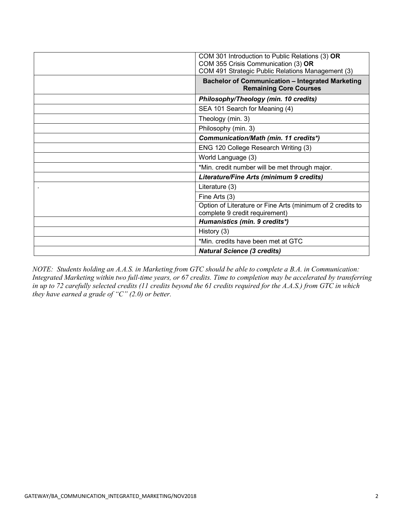| COM 301 Introduction to Public Relations (3) OR<br>COM 355 Crisis Communication (3) OR       |
|----------------------------------------------------------------------------------------------|
| COM 491 Strategic Public Relations Management (3)                                            |
| <b>Bachelor of Communication - Integrated Marketing</b><br><b>Remaining Core Courses</b>     |
| Philosophy/Theology (min. 10 credits)                                                        |
| SEA 101 Search for Meaning (4)                                                               |
| Theology (min. 3)                                                                            |
| Philosophy (min. 3)                                                                          |
| Communication/Math (min. 11 credits*)                                                        |
| ENG 120 College Research Writing (3)                                                         |
| World Language (3)                                                                           |
| *Min. credit number will be met through major.                                               |
| Literature/Fine Arts (minimum 9 credits)                                                     |
| Literature (3)                                                                               |
| Fine Arts (3)                                                                                |
| Option of Literature or Fine Arts (minimum of 2 credits to<br>complete 9 credit requirement) |
| Humanistics (min. 9 credits*)                                                                |
| History (3)                                                                                  |
| *Min. credits have been met at GTC                                                           |
| <b>Natural Science (3 credits)</b>                                                           |

*NOTE: Students holding an A.A.S. in Marketing from GTC should be able to complete a B.A. in Communication: Integrated Marketing within two full-time years, or 67 credits. Time to completion may be accelerated by transferring in up to 72 carefully selected credits (11 credits beyond the 61 credits required for the A.A.S.) from GTC in which they have earned a grade of "C" (2.0) or better.*